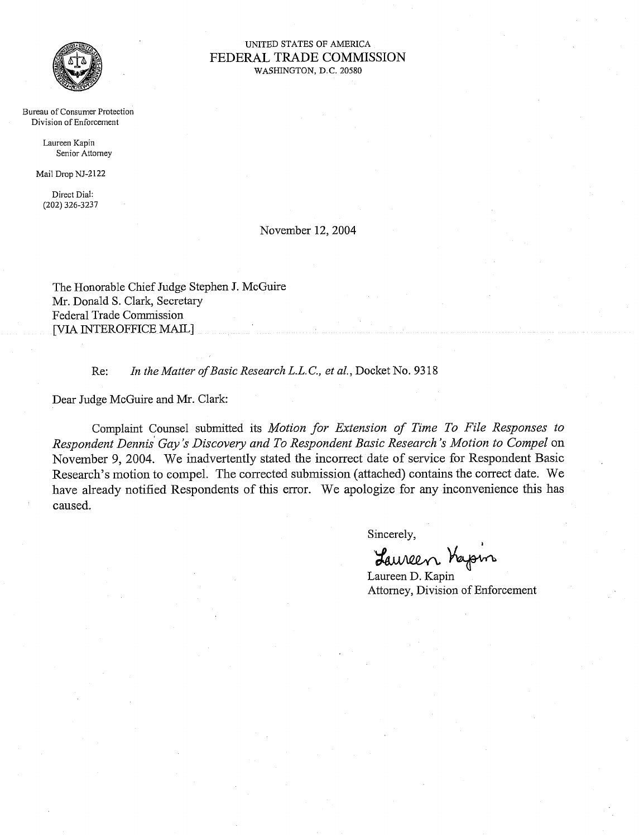

#### UNITED STATES OF AMERICA FEDERAL TRADE COMMISSION WASHINGTON, D.C. 20580

Bureau of Consumer Protection Division of Enforcement

> Laureen Kapin Senior Attomey

Mail Drop NJ-2122

Direct Dial: (202) 326-3237

### November 12,2004

The Honorable Chief Judge Stephen J. McGuire Mr. Donald S. Clark, Secretary Federal Trade Commission [VIA INTEROFFICE MAIL]

Re: In the Matter of Basic Research L.L.C., et al., Docket No. 9318

Dear Judge McGuire and Mr. Clark:

Complaint Counsel submitted its *Motion for Extension of Time To File Responses to Respondent Dennis Gay's Discovery and To Respondent Basic Research's Motion to Compel on* November *9,* 2004. We inadvertently stated the incorrect date of service for Respondent Basic Research's motion to compel. The corrected submission (attached) contains the correct date. We have already notified Respondents of this error. We apologize for any inconvenience this has caused.

Sincerely,

*I*  '&+

Laureen D. Kapin Attorney, Division of Enforcement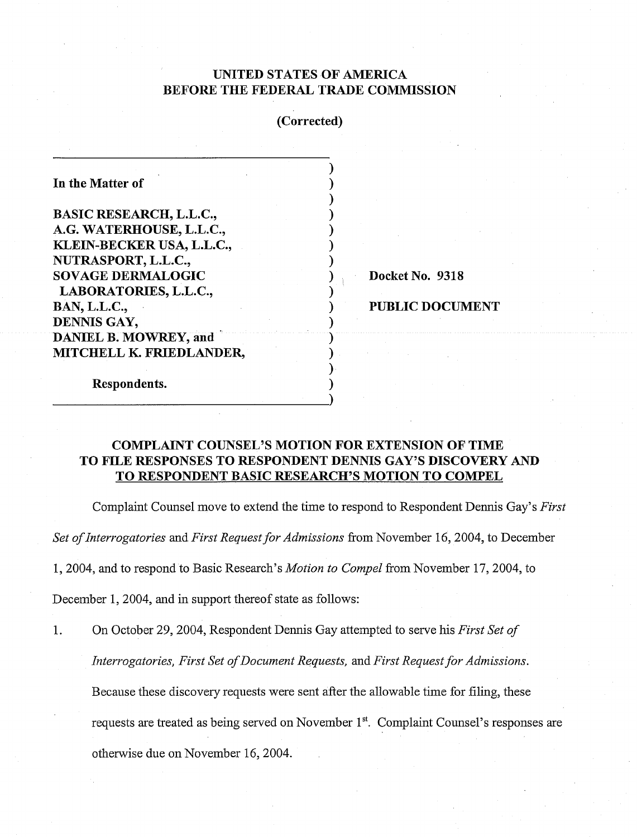### UNITED STATES OF AMERICA BEFORE THE FEDERAL TRADE COMMISSION

# (Corrected)

| In the Matter of               |  |
|--------------------------------|--|
|                                |  |
| <b>BASIC RESEARCH, L.L.C.,</b> |  |
| A.G. WATERHOUSE, L.L.C.,       |  |
| KLEIN-BECKER USA, L.L.C.,      |  |
| NUTRASPORT, L.L.C.,            |  |
| <b>SOVAGE DERMALOGIC</b>       |  |
| LABORATORIES, L.L.C.,          |  |
| <b>BAN, L.L.C.,</b>            |  |
| DENNIS GAY,                    |  |
| <b>DANIEL B. MOWREY, and</b>   |  |
| MITCHELL K. FRIEDLANDER,       |  |
|                                |  |
| Respondents.                   |  |
|                                |  |

Docket No. 9318

PUBLIC DOCUMENT

# COMPLAINT COUNSEL'S MOTION FOR EXTENSION OF TIME TO FILE RESPONSES TO RESPONDENT DENNIS GAY'S DISCOVERY AND TO RESPONDENT BASIC RESEARCH'S MOTION TO COMPEL

Complaint Counsel move to extend the time to respond to Respondent Dennis Gay's *First* 

*Set of Interrogatories* and *First Request for Admissions* from November 16,2004, to December

1, 2004, and to respond to Basic Research's *Motion to Compel* from November 17, 2004, to

December 1, 2004, and in support thereof state as follows:

1. On October 29, 2004, Respondent Dennis Gay attempted to serve his *First Set of* 

*Interrogatories, First Set of Document Requests, and First Request for Admissions.* 

Because these discovery requests were sent after the allowable time for filing, these

requests are treated as being served on November 1<sup>st</sup>. Complaint Counsel's responses are

otherwise due on November 16, 2004.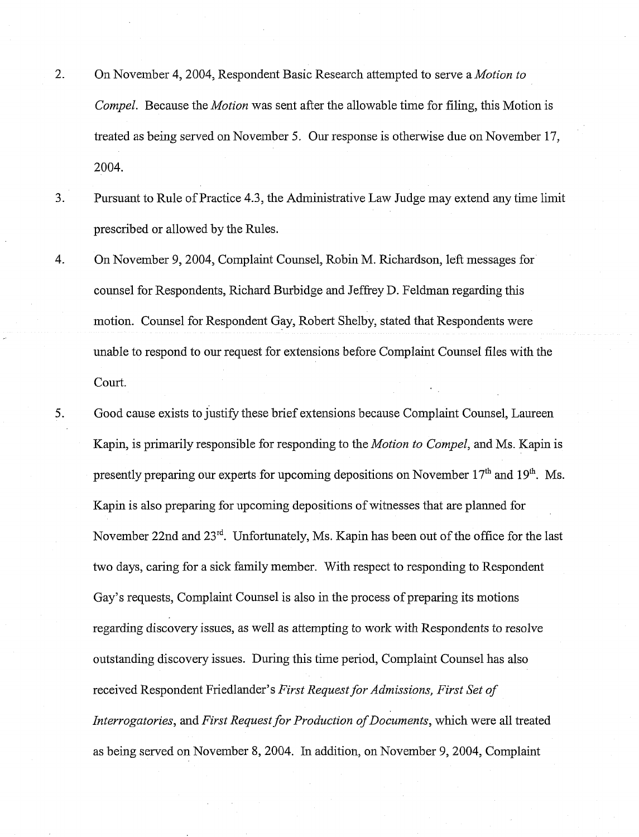- 2. On November 4, 2004, Respondent Basic Research attempted to serve a *Motion to* Compel. Because the *Motion* was sent after the allowable time for filing, this Motion is treated as being served on November 5. Our response is otherwise due on November 17, 2004.
- 3. Pursuant to Rule of Practice 4.3, the Administrative Law Judge may extend any time limit prescribed or allowed by the Rules.
- 4. On November 9, 2004, Complaint Counsel, Robin M. Richardson, left messages for counsel for Respondents, Richard Burbidge and Jeffrey D. Feldman regarding this motion. Counsel for Respondent Gay, Robert Shelby, stated that Respondents were unable to respond to our request for extensions before Complaint Counsel files with the Court.
- 5. Good cause exists to justify these brief extensions because Complaint Counsel, Laureen Kapin, is primarily responsible for responding to the Motion to Compel, and Ms. Kapin is presently preparing our experts for upcoming depositions on November  $17<sup>th</sup>$  and  $19<sup>th</sup>$ . Ms. Kapin is also preparing for upcoming depositions of witnesses that are planned for November 22nd and  $23<sup>rd</sup>$ . Unfortunately, Ms. Kapin has been out of the office for the last two days, caring for a sick family member. With respect to responding to Respondent Gay's requests, Complaint Counsel is also in the process of preparing its motions regarding discovery issues, as well as attempting to work with Respondents to resolve outstanding discovery issues. During this time period, Complaint Counsel has also received Respondent Friedlander's First Request for Admissions, First Set of Interrogatories, and First Request for Production of Documents, which were all treated as being served on November 8,2004. In addition, on November 9,2004, Complaint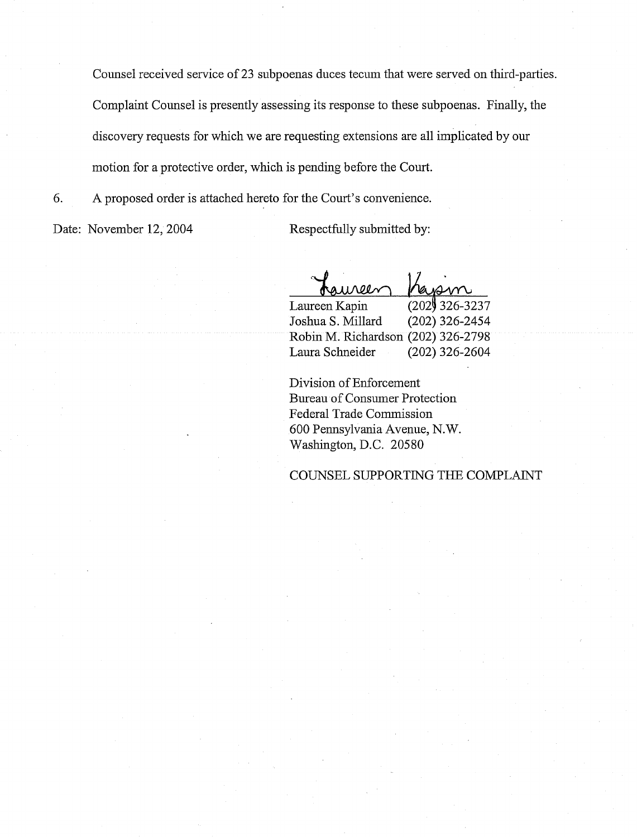Counsel received service of 23 subpoenas duces tecum that were served on third-parties. Complaint Counsel is presently assessing its response to these subpoenas. Finally, the discovery requests for which we are requesting extensions are all implicated by our motion for a protective order, which is pending before the Court.

6. A proposed order is attached hereto for the Court's convenience.

Date: November 12, 2004 Respectfully submitted by:

 $0.00<sub>N</sub>$ 

Laureen Kapin (202) 326-3237<br>Joshua S. Millard (202) 326-2454 Joshua S. Millard Robin M. Richardson (202) 326-2798 Laura Schneider (202) 326-2604

Division of Enforcement Bureau of Consumer Protection Federal Trade Commission 600 Pennsylvania Avenue, N. W Washington, D.C. 20580

### COUNSEL SUPPORTING THE COMPLAINT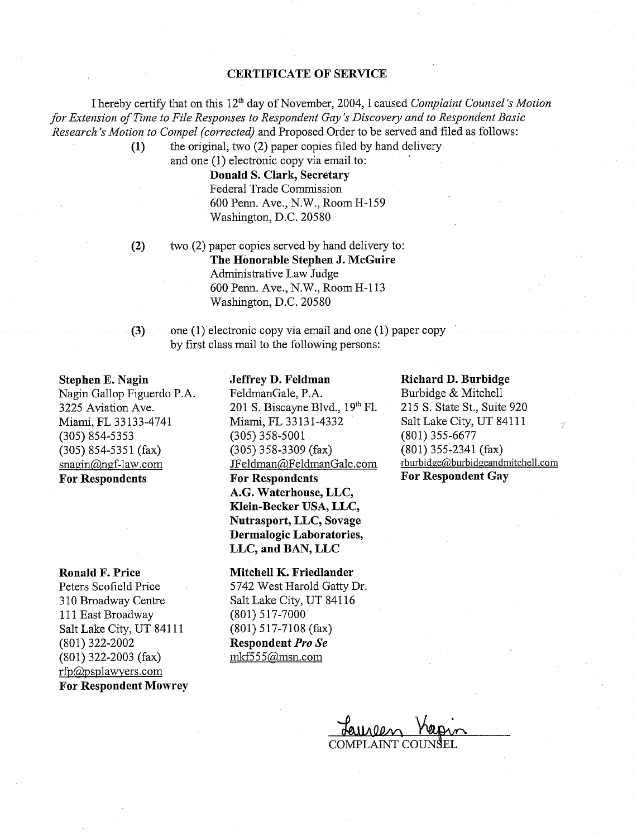#### **CERTIFICATE OF SERVICE**

I hereby certify that on this 12<sup>th</sup> day of November, 2004, I caused *Complaint Counsel's Motion for Extension of Time to File Responses to Respondent Gay's Discovery and to Respondent Basic Research's Motion to Compel (corrected)* and Proposed Order to be served and filed as follows:

the original, two (2) paper copies filed by hand delivery  $(1)$ and one (1) electronic copy via email to:

**Donald S. Clark, Secretary**  Federal Trade Commission 600 Penn. Ave., N.W., Room H-159

Washington, D.C. 20580

 $(2)$ two (2) paper copies served by hand delivery to: **The Honorable Stephen J. McGuire**  Administrative Law Judge 600 Penn. Ave., N.W., Room H-113 Washington, D.C. 20580

 $(3)$ one (1) electronic copy via email and one (1) paper copy by frsst class mail to the following persons:

**Stephen E. Nagin**  Nagin Gallop Figuerdo P.A. 3225 Aviation Ave. Miami, FL 33133-4741 (305) 854-5353 (305) 854-5351 (fax) snagin@ngf-law.com **For Respondents** 

**Ronald F. Price** 

Peters Scofield Price 3 10 Broadway Centre 111 East Broadway Salt Lake City, UT 841 11 (801) 322-2002 (801) 322-2003 (fax) rfp@psplawyers.com **For Respondent Mowrey** 

#### **Jeffrey D. Feldman**

FeldmanGale, P.A. 201 S. Biscayne Blvd.,  $19<sup>th</sup>$  Fl. Miami, FL 33131-4332 (305) 358-5001 (305) 358-3309 (fax) JFeldman@,FeldmanGale.com **For Respondents A.G. Waterhouse, LLC, Klein-Becker USA, LLC, Nutrasport, LLC, Sovage Dermalogic Laboratories, LLC, and BAN, LLC** 

**Mitchell K. Friedlander**  5742 West Harold Gatty Dr. Salt Lake City, UT 841 16 (801) 517-7000 (801) 517-7108 (fax) **Respondent** *Pro Se*  mkf5 5 5@msn.com

### **Richard D. Burbidge**

Burbidge & Mitchell 215 S. State St., Suite 920 Salt Lake City, UT 84111 (801) 355-6677 (801) 355-2341 (fax) rburbidge@burbidgeandmitchell.com **For Respondent Gay** 

 $\tilde{\epsilon}^2$ 

COMPLAINT COUNSEL